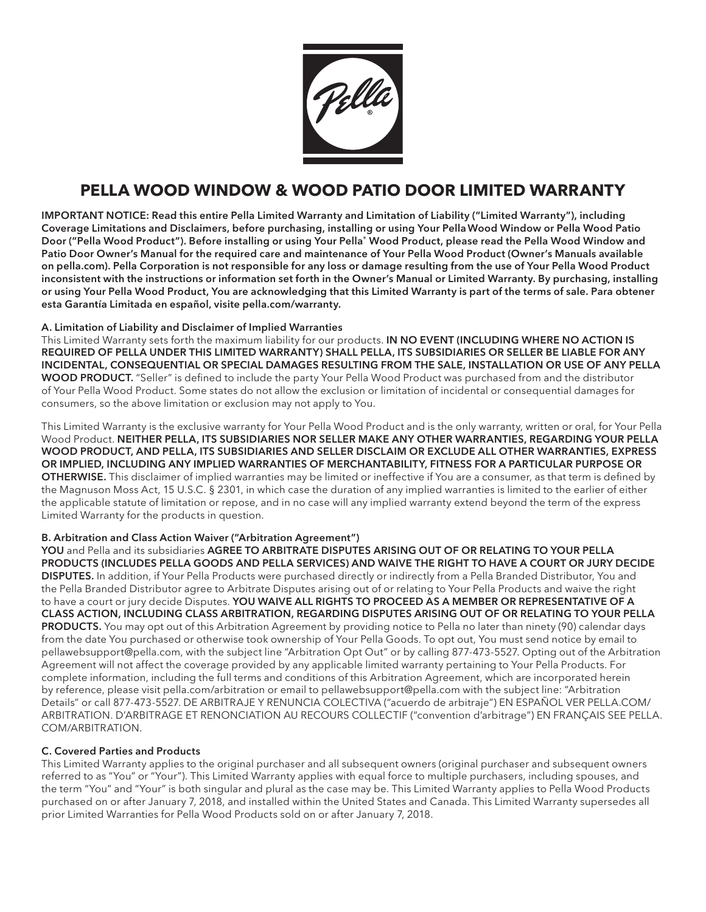

# **PELLA WOOD WINDOW & WOOD PATIO DOOR LIMITED WARRANTY**

IMPORTANT NOTICE: Read this entire Pella Limited Warranty and Limitation of Liability ("Limited Warranty"), including Coverage Limitations and Disclaimers, before purchasing, installing or using Your PellaWood Window or Pella Wood Patio Door ("Pella Wood Product"). Before installing or using Your Pella® Wood Product, please read the Pella Wood Window and Patio Door Owner's Manual for the required care and maintenance of Your Pella Wood Product (Owner's Manuals available on pella.com). Pella Corporation is not responsible for any loss or damage resulting from the use of Your Pella Wood Product inconsistent with the instructions or information set forth in the Owner's Manual or Limited Warranty. By purchasing, installing or using Your Pella Wood Product, You are acknowledging that this Limited Warranty is part of the terms of sale. Para obtener esta Garantía Limitada en español, visite pella.com/warranty.

## A. Limitation of Liability and Disclaimer of Implied Warranties

This Limited Warranty sets forth the maximum liability for our products. IN NO EVENT (INCLUDING WHERE NO ACTION IS REQUIRED OF PELLA UNDER THIS LIMITED WARRANTY) SHALL PELLA, ITS SUBSIDIARIES OR SELLER BE LIABLE FOR ANY INCIDENTAL, CONSEQUENTIAL OR SPECIAL DAMAGES RESULTING FROM THE SALE, INSTALLATION OR USE OF ANY PELLA WOOD PRODUCT. "Seller" is defined to include the party Your Pella Wood Product was purchased from and the distributor of Your Pella Wood Product. Some states do not allow the exclusion or limitation of incidental or consequential damages for consumers, so the above limitation or exclusion may not apply to You.

This Limited Warranty is the exclusive warranty for Your Pella Wood Product and is the only warranty, written or oral, for Your Pella Wood Product. NEITHER PELLA, ITS SUBSIDIARIES NOR SELLER MAKE ANY OTHER WARRANTIES, REGARDING YOUR PELLA WOOD PRODUCT, AND PELLA, ITS SUBSIDIARIES AND SELLER DISCLAIM OR EXCLUDE ALL OTHER WARRANTIES, EXPRESS OR IMPLIED, INCLUDING ANY IMPLIED WARRANTIES OF MERCHANTABILITY, FITNESS FOR A PARTICULAR PURPOSE OR OTHERWISE. This disclaimer of implied warranties may be limited or ineffective if You are a consumer, as that term is defined by the Magnuson Moss Act, 15 U.S.C. § 2301, in which case the duration of any implied warranties is limited to the earlier of either the applicable statute of limitation or repose, and in no case will any implied warranty extend beyond the term of the express Limited Warranty for the products in question.

## B. Arbitration and Class Action Waiver ("Arbitration Agreement")

YOU and Pella and its subsidiaries AGREE TO ARBITRATE DISPUTES ARISING OUT OF OR RELATING TO YOUR PELLA PRODUCTS (INCLUDES PELLA GOODS AND PELLA SERVICES) AND WAIVE THE RIGHT TO HAVE A COURT OR JURY DECIDE DISPUTES. In addition, if Your Pella Products were purchased directly or indirectly from a Pella Branded Distributor, You and the Pella Branded Distributor agree to Arbitrate Disputes arising out of or relating to Your Pella Products and waive the right to have a court or jury decide Disputes. YOU WAIVE ALL RIGHTS TO PROCEED AS A MEMBER OR REPRESENTATIVE OF A CLASS ACTION, INCLUDING CLASS ARBITRATION, REGARDING DISPUTES ARISING OUT OF OR RELATING TO YOUR PELLA PRODUCTS. You may opt out of this Arbitration Agreement by providing notice to Pella no later than ninety (90) calendar days from the date You purchased or otherwise took ownership of Your Pella Goods. To opt out, You must send notice by email to pellawebsupport@pella.com, with the subject line "Arbitration Opt Out" or by calling 877-473-5527. Opting out of the Arbitration Agreement will not affect the coverage provided by any applicable limited warranty pertaining to Your Pella Products. For complete information, including the full terms and conditions of this Arbitration Agreement, which are incorporated herein by reference, please visit pella.com/arbitration or email to pellawebsupport@pella.com with the subject line: "Arbitration Details" or call 877-473-5527. DE ARBITRAJE Y RENUNCIA COLECTIVA ("acuerdo de arbitraje") EN ESPAÑOL VER PELLA.COM/ ARBITRATION. D'ARBITRAGE ET RENONCIATION AU RECOURS COLLECTIF ("convention d'arbitrage") EN FRANÇAIS SEE PELLA. COM/ARBITRATION.

## C. Covered Parties and Products

This Limited Warranty applies to the original purchaser and all subsequent owners (original purchaser and subsequent owners referred to as "You" or "Your"). This Limited Warranty applies with equal force to multiple purchasers, including spouses, and the term "You" and "Your" is both singular and plural as the case may be. This Limited Warranty applies to Pella Wood Products purchased on or after January 7, 2018, and installed within the United States and Canada. This Limited Warranty supersedes all prior Limited Warranties for Pella Wood Products sold on or after January 7, 2018.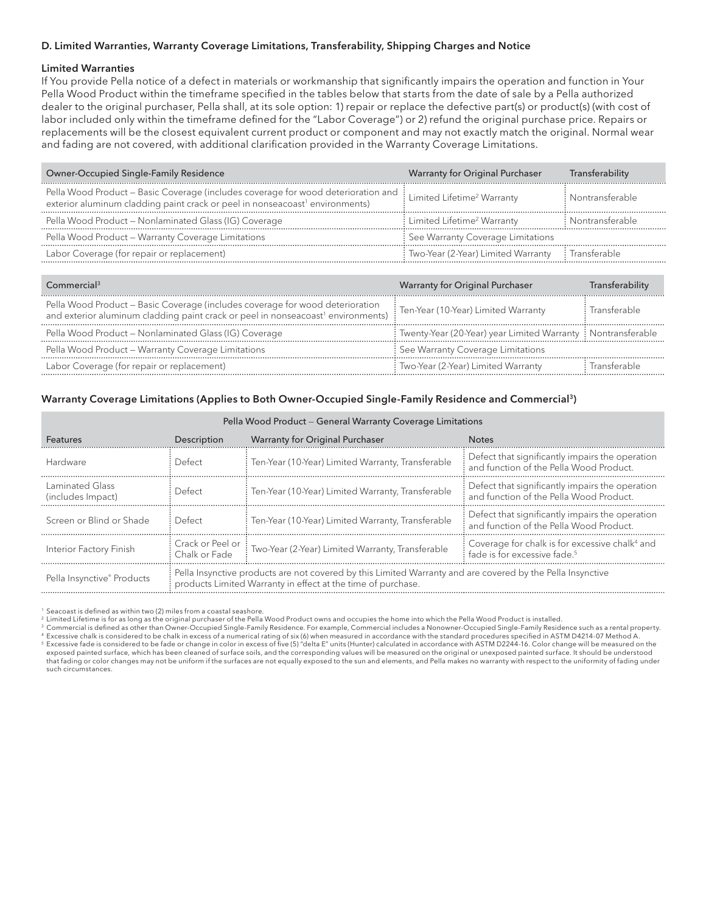## D. Limited Warranties, Warranty Coverage Limitations, Transferability, Shipping Charges and Notice

#### Limited Warranties

If You provide Pella notice of a defect in materials or workmanship that significantly impairs the operation and function in Your Pella Wood Product within the timeframe specified in the tables below that starts from the date of sale by a Pella authorized dealer to the original purchaser, Pella shall, at its sole option: 1) repair or replace the defective part(s) or product(s) (with cost of labor included only within the timeframe defined for the "Labor Coverage") or 2) refund the original purchase price. Repairs or replacements will be the closest equivalent current product or component and may not exactly match the original. Normal wear and fading are not covered, with additional clarification provided in the Warranty Coverage Limitations.

| Owner-Occupied Single-Family Residence                                                                                                                                                                                        | Warranty for Original Purchaser                     | Transferability   |
|-------------------------------------------------------------------------------------------------------------------------------------------------------------------------------------------------------------------------------|-----------------------------------------------------|-------------------|
| Pella Wood Product – Basic Coverage (includes coverage for wood deterioration and $\vdots$ Limited Lifetime <sup>2</sup> Warranty<br>exterior aluminum cladding paint crack or peel in nonseacoast <sup>1</sup> environments) |                                                     | : Nontransferable |
| Pella Wood Product - Nonlaminated Glass (IG) Coverage                                                                                                                                                                         | : Limited Lifetime <sup>2</sup> Warranty            | : Nontransferable |
| Pella Wood Product - Warranty Coverage Limitations                                                                                                                                                                            | See Warranty Coverage Limitations                   |                   |
| Labor Coverage (for repair or replacement)                                                                                                                                                                                    | : Two-Year (2-Year) Limited Warranty : Transferable |                   |

| Commercial <sup>3</sup>                                                                                                                                                       | Warranty for Original Purchaser                               | Transferabilitv |
|-------------------------------------------------------------------------------------------------------------------------------------------------------------------------------|---------------------------------------------------------------|-----------------|
| Pella Wood Product - Basic Coverage (includes coverage for wood deterioration<br>and exterior aluminum cladding paint crack or peel in nonseacoast <sup>1</sup> environments) | : Ten-Year (10-Year) Limited Warranty                         | Transferable    |
| Pella Wood Product – Nonlaminated Glass (IG) Coverage                                                                                                                         | Twenty-Year (20-Year) year Limited Warranty : Nontransferable |                 |
| Pella Wood Product - Warranty Coverage Limitations                                                                                                                            | : See Warranty Coverage Limitations                           |                 |
| Labor Coverage (for repair or replacement)                                                                                                                                    | : Two-Year (2-Year) Limited Warranty                          | lransterable    |

#### Warranty Coverage Limitations (Applies to Both Owner-Occupied Single-Family Residence and Commercial3)

| Pella Wood Product - General Warranty Coverage Limitations                                                                                                                                               |                                   |                                                     |                                                                                                            |  |  |  |
|----------------------------------------------------------------------------------------------------------------------------------------------------------------------------------------------------------|-----------------------------------|-----------------------------------------------------|------------------------------------------------------------------------------------------------------------|--|--|--|
| Features                                                                                                                                                                                                 | Description                       | Warranty for Original Purchaser                     | <b>Notes</b>                                                                                               |  |  |  |
| Hardware                                                                                                                                                                                                 | Defect                            | Ten-Year (10-Year) Limited Warranty, Transferable   | Defect that significantly impairs the operation<br>and function of the Pella Wood Product.                 |  |  |  |
| Laminated Glass<br>(includes Impact)                                                                                                                                                                     | Defect                            | : Ten-Year (10-Year) Limited Warranty, Transferable | $\frac{1}{2}$ : Defect that significantly impairs the operation<br>and function of the Pella Wood Product. |  |  |  |
| Screen or Blind or Shade                                                                                                                                                                                 | Defect                            | Ten-Year (10-Year) Limited Warranty, Transferable   | $\frac{1}{2}$ : Defect that significantly impairs the operation<br>and function of the Pella Wood Product. |  |  |  |
| Interior Factory Finish                                                                                                                                                                                  | Crack or Peel or<br>Chalk or Fade | : Two-Year (2-Year) Limited Warranty, Transferable  | Coverage for chalk is for excessive chalk <sup>4</sup> and<br>fade is for excessive fade. <sup>5</sup>     |  |  |  |
| Pella Insynctive products are not covered by this Limited Warranty and are covered by the Pella Insynctive<br>Pella Insynctive® Products<br>products Limited Warranty in effect at the time of purchase. |                                   |                                                     |                                                                                                            |  |  |  |

<sup>1</sup> Seacoast is defined as within two (2) miles from a coastal seashore.

2 Limited Lifetime is for as long as the original purchaser of the Pella Wood Product owns and occupies the home into which the Pella Wood Product is installed.

<sup>3</sup> Commercial is defined as other than Owner-Occupied Single-Family Residence. For example, Commercial includes a Nonowner-Occupied Single-Family Residence such as a rental property.<br><sup>4</sup> Excessive chalk is considered to b 5 Excessive fade is considered to be fade or change in color in excess of five (5) "delta E" units (Hunter) calculated in accordance with ASTM D2244-16. Color change will be measured on the exposed painted surface, which has been cleaned of surface soils, and the corresponding values will be measured on the original or unexposed painted surface. It should be understood that fading or color changes may not be uniform if the surfaces are not equally exposed to the sun and elements, and Pella makes no warranty with respect to the uniformity of fading under such circumstances.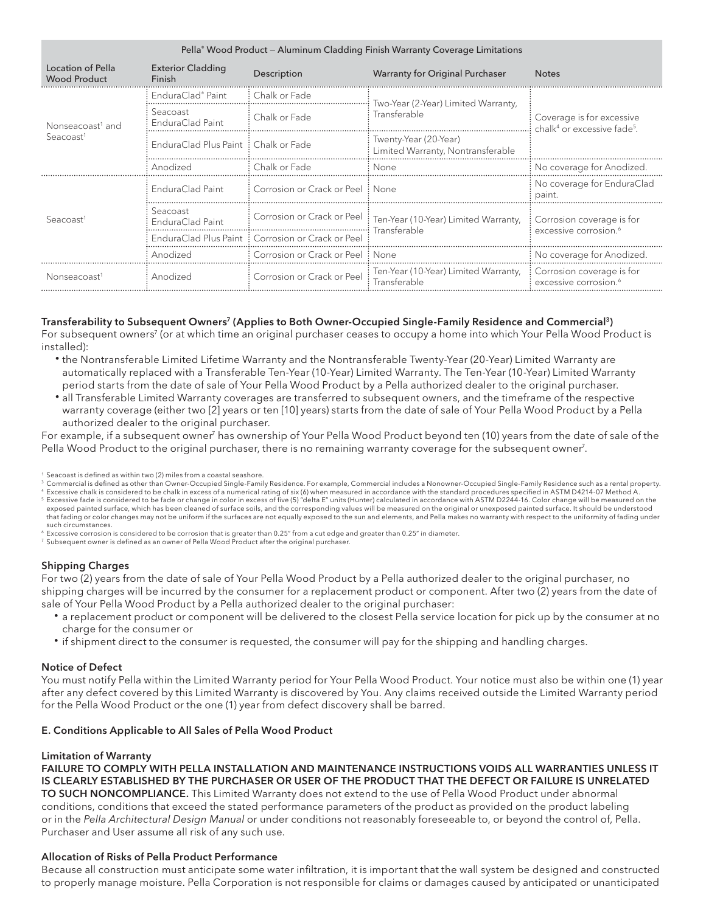| Pella® Wood Product – Aluminum Cladding Finish Warranty Coverage Limitations |                                      |                                                   |                                                                                   |                                                                                  |  |  |
|------------------------------------------------------------------------------|--------------------------------------|---------------------------------------------------|-----------------------------------------------------------------------------------|----------------------------------------------------------------------------------|--|--|
| Location of Pella<br><b>Wood Product</b>                                     | <b>Exterior Cladding</b><br>Finish   | Description                                       | Warranty for Original Purchaser                                                   | <b>Notes</b>                                                                     |  |  |
| Nonseacoast <sup>1</sup> and<br>S <sub>e</sub> acoast <sup>1</sup>           | EnduraClad® Paint                    | : Chalk or Fade                                   | Two-Year (2-Year) Limited Warranty,                                               | Coverage is for excessive<br>chalk <sup>4</sup> or excessive fade <sup>5</sup> . |  |  |
|                                                                              | Seacoast<br>EnduraClad Paint         | Chalk or Fade                                     | Transferable                                                                      |                                                                                  |  |  |
|                                                                              | EnduraClad Plus Paint: Chalk or Fade |                                                   | Twenty-Year (20-Year)<br>Limited Warranty, Nontransferable                        |                                                                                  |  |  |
|                                                                              | Anodized                             | Chalk or Fade                                     | None                                                                              | No coverage for Anodized.                                                        |  |  |
| Seacoast                                                                     | EnduraClad Paint                     | : Corrosion or Crack or Peel: None                |                                                                                   | No coverage for EnduraClad<br>paint.                                             |  |  |
|                                                                              | Seacoast<br>EnduraClad Paint         |                                                   | Corrosion or Crack or Peel : Ten-Year (10-Year) Limited Warranty,<br>Transferable | Corrosion coverage is for<br>excessive corrosion. <sup>6</sup>                   |  |  |
|                                                                              |                                      | EnduraClad Plus Paint: Corrosion or Crack or Peel |                                                                                   |                                                                                  |  |  |
|                                                                              | Anodized                             | : Corrosion or Crack or Peel : None               |                                                                                   | No coverage for Anodized                                                         |  |  |
| Nonseacoast <sup>1</sup>                                                     | Anodized                             | Corrosion or Crack or Peel                        | Ten-Year (10-Year) Limited Warranty,<br>Transferable                              | : Corrosion coverage is for<br>excessive corrosion. <sup>6</sup>                 |  |  |

#### Transferability to Subsequent Owners<sup>7</sup> (Applies to Both Owner-Occupied Single-Family Residence and Commercial<sup>3</sup>)

For subsequent owners<sup>7</sup> (or at which time an original purchaser ceases to occupy a home into which Your Pella Wood Product is installed):

- the Nontransferable Limited Lifetime Warranty and the Nontransferable Twenty-Year (20-Year) Limited Warranty are automatically replaced with a Transferable Ten-Year (10-Year) Limited Warranty. The Ten-Year (10-Year) Limited Warranty period starts from the date of sale of Your Pella Wood Product by a Pella authorized dealer to the original purchaser.
- all Transferable Limited Warranty coverages are transferred to subsequent owners, and the timeframe of the respective warranty coverage (either two [2] years or ten [10] years) starts from the date of sale of Your Pella Wood Product by a Pella authorized dealer to the original purchaser.

For example, if a subsequent owner<sup>7</sup> has ownership of Your Pella Wood Product beyond ten (10) years from the date of sale of the Pella Wood Product to the original purchaser, there is no remaining warranty coverage for the subsequent owner<sup>7</sup>.

<sup>1</sup> Seacoast is defined as within two (2) miles from a coastal seashore.

<sup>3</sup> Commercial is defined as other than Owner-Occupied Single-Family Residence. For example, Commercial includes a Nonowner-Occupied Single-Family Residence such as a rental property. Excessive chalk is considered to be chalk in excess of a numerical rating of six (6) when measured in accordance with the standard procedures specified in ASTM D4214-07 Method A.

5 Excessive fade is considered to be fade or change in color in excess of five (5) "delta E" units (Hunter) calculated in accordance with ASTM D2244-16. Color change will be measured on the exposed painted surface, which has been cleaned of surface soils, and the corresponding values will be measured on the original or unexposed painted surface. It should be understood<br>that fading or color changes may not be such circumstances.

 $^6$  Excessive corrosion is considered to be corrosion that is greater than 0.25" from a cut edge and greater than 0.25" in diameter.<br><sup>7</sup> Subsequent owner is defined as an owner of Pella Wood Product after the original pur

#### Shipping Charges

For two (2) years from the date of sale of Your Pella Wood Product by a Pella authorized dealer to the original purchaser, no shipping charges will be incurred by the consumer for a replacement product or component. After two (2) years from the date of sale of Your Pella Wood Product by a Pella authorized dealer to the original purchaser:

- a replacement product or component will be delivered to the closest Pella service location for pick up by the consumer at no charge for the consumer or
- if shipment direct to the consumer is requested, the consumer will pay for the shipping and handling charges.

#### Notice of Defect

You must notify Pella within the Limited Warranty period for Your Pella Wood Product. Your notice must also be within one (1) year after any defect covered by this Limited Warranty is discovered by You. Any claims received outside the Limited Warranty period for the Pella Wood Product or the one (1) year from defect discovery shall be barred.

#### E. Conditions Applicable to All Sales of Pella Wood Product

#### Limitation of Warranty

FAILURE TO COMPLY WITH PELLA INSTALLATION AND MAINTENANCE INSTRUCTIONS VOIDS ALL WARRANTIES UNLESS IT IS CLEARLY ESTABLISHED BY THE PURCHASER OR USER OF THE PRODUCT THAT THE DEFECT OR FAILURE IS UNRELATED TO SUCH NONCOMPLIANCE. This Limited Warranty does not extend to the use of Pella Wood Product under abnormal conditions, conditions that exceed the stated performance parameters of the product as provided on the product labeling or in the *Pella Architectural Design Manual* or under conditions not reasonably foreseeable to, or beyond the control of, Pella. Purchaser and User assume all risk of any such use.

#### Allocation of Risks of Pella Product Performance

Because all construction must anticipate some water infiltration, it is important that the wall system be designed and constructed to properly manage moisture. Pella Corporation is not responsible for claims or damages caused by anticipated or unanticipated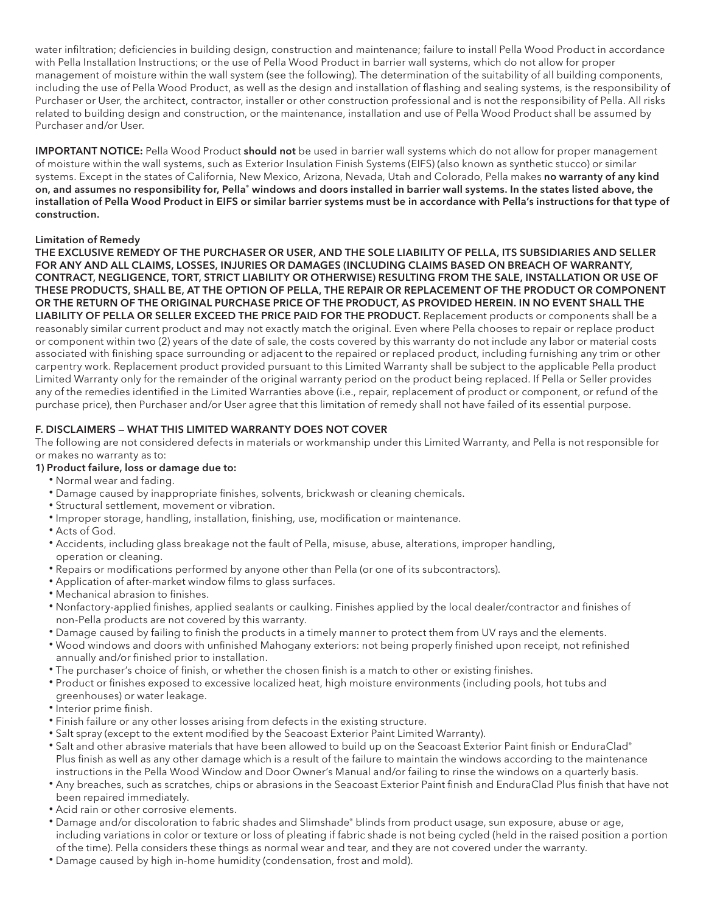water infiltration; deficiencies in building design, construction and maintenance; failure to install Pella Wood Product in accordance with Pella Installation Instructions; or the use of Pella Wood Product in barrier wall systems, which do not allow for proper management of moisture within the wall system (see the following). The determination of the suitability of all building components, including the use of Pella Wood Product, as well as the design and installation of flashing and sealing systems, is the responsibility of Purchaser or User, the architect, contractor, installer or other construction professional and is not the responsibility of Pella. All risks related to building design and construction, or the maintenance, installation and use of Pella Wood Product shall be assumed by Purchaser and/or User.

IMPORTANT NOTICE: Pella Wood Product should not be used in barrier wall systems which do not allow for proper management of moisture within the wall systems, such as Exterior Insulation Finish Systems (EIFS) (also known as synthetic stucco) or similar systems. Except in the states of California, New Mexico, Arizona, Nevada, Utah and Colorado, Pella makes no warranty of any kind on, and assumes no responsibility for, Pella® windows and doors installed in barrier wall systems. In the states listed above, the installation of Pella Wood Product in EIFS or similar barrier systems must be in accordance with Pella's instructions for that type of construction.

## Limitation of Remedy

THE EXCLUSIVE REMEDY OF THE PURCHASER OR USER, AND THE SOLE LIABILITY OF PELLA, ITS SUBSIDIARIES AND SELLER FOR ANY AND ALL CLAIMS, LOSSES, INJURIES OR DAMAGES (INCLUDING CLAIMS BASED ON BREACH OF WARRANTY, CONTRACT, NEGLIGENCE, TORT, STRICT LIABILITY OR OTHERWISE) RESULTING FROM THE SALE, INSTALLATION OR USE OF THESE PRODUCTS, SHALL BE, AT THE OPTION OF PELLA, THE REPAIR OR REPLACEMENT OF THE PRODUCT OR COMPONENT OR THE RETURN OF THE ORIGINAL PURCHASE PRICE OF THE PRODUCT, AS PROVIDED HEREIN. IN NO EVENT SHALL THE LIABILITY OF PELLA OR SELLER EXCEED THE PRICE PAID FOR THE PRODUCT. Replacement products or components shall be a reasonably similar current product and may not exactly match the original. Even where Pella chooses to repair or replace product or component within two (2) years of the date of sale, the costs covered by this warranty do not include any labor or material costs associated with finishing space surrounding or adjacent to the repaired or replaced product, including furnishing any trim or other carpentry work. Replacement product provided pursuant to this Limited Warranty shall be subject to the applicable Pella product Limited Warranty only for the remainder of the original warranty period on the product being replaced. If Pella or Seller provides any of the remedies identified in the Limited Warranties above (i.e., repair, replacement of product or component, or refund of the purchase price), then Purchaser and/or User agree that this limitation of remedy shall not have failed of its essential purpose.

## F. DISCLAIMERS — WHAT THIS LIMITED WARRANTY DOES NOT COVER

The following are not considered defects in materials or workmanship under this Limited Warranty, and Pella is not responsible for or makes no warranty as to:

## 1) Product failure, loss or damage due to:

- Normal wear and fading.
- Damage caused by inappropriate finishes, solvents, brickwash or cleaning chemicals.
- Structural settlement, movement or vibration.
- Improper storage, handling, installation, finishing, use, modification or maintenance.
- Acts of God.
- Accidents, including glass breakage not the fault of Pella, misuse, abuse, alterations, improper handling, operation or cleaning.
- Repairs or modifications performed by anyone other than Pella (or one of its subcontractors).
- Application of after-market window films to glass surfaces.
- Mechanical abrasion to finishes.
- Nonfactory-applied finishes, applied sealants or caulking. Finishes applied by the local dealer/contractor and finishes of non-Pella products are not covered by this warranty.
- Damage caused by failing to finish the products in a timely manner to protect them from UV rays and the elements.
- Wood windows and doors with unfinished Mahogany exteriors: not being properly finished upon receipt, not refinished annually and/or finished prior to installation.
- The purchaser's choice of finish, or whether the chosen finish is a match to other or existing finishes.
- Product or finishes exposed to excessive localized heat, high moisture environments (including pools, hot tubs and greenhouses) or water leakage.
- Interior prime finish.
- Finish failure or any other losses arising from defects in the existing structure.
- Salt spray (except to the extent modified by the Seacoast Exterior Paint Limited Warranty).
- Salt and other abrasive materials that have been allowed to build up on the Seacoast Exterior Paint finish or EnduraClad® Plus finish as well as any other damage which is a result of the failure to maintain the windows according to the maintenance instructions in the Pella Wood Window and Door Owner's Manual and/or failing to rinse the windows on a quarterly basis.
- Any breaches, such as scratches, chips or abrasions in the Seacoast Exterior Paint finish and EnduraClad Plus finish that have not been repaired immediately.
- Acid rain or other corrosive elements.
- Damage and/or discoloration to fabric shades and Slimshade® blinds from product usage, sun exposure, abuse or age, including variations in color or texture or loss of pleating if fabric shade is not being cycled (held in the raised position a portion of the time). Pella considers these things as normal wear and tear, and they are not covered under the warranty.
- Damage caused by high in-home humidity (condensation, frost and mold).